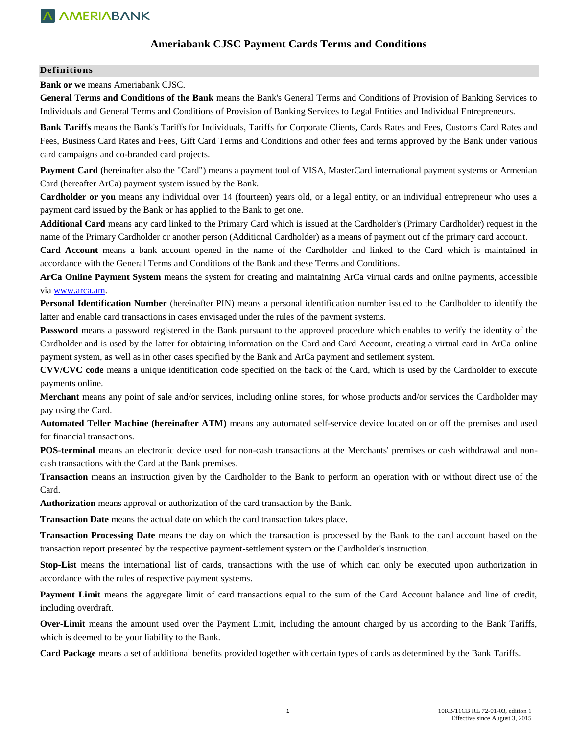### **Ameriabank CJSC Payment Cards Terms and Conditions**

#### **Definitions**

**Bank or we** means Ameriabank CJSC.

**General Terms and Conditions of the Bank** means the Bank's General Terms and Conditions of Provision of Banking Services to Individuals and General Terms and Conditions of Provision of Banking Services to Legal Entities and Individual Entrepreneurs.

**Bank Tariffs** means the Bank's Tariffs for Individuals, Tariffs for Corporate Clients, Cards Rates and Fees, Customs Card Rates and Fees, Business Card Rates and Fees, Gift Card Terms and Conditions and other fees and terms approved by the Bank under various card campaigns and co-branded card projects.

**Payment Card** (hereinafter also the "Card") means a payment tool of VISA, MasterCard international payment systems or Armenian Card (hereafter ArCa) payment system issued by the Bank.

**Cardholder or you** means any individual over 14 (fourteen) years old, or a legal entity, or an individual entrepreneur who uses a payment card issued by the Bank or has applied to the Bank to get one.

**Additional Card** means any card linked to the Primary Card which is issued at the Cardholder's (Primary Cardholder) request in the name of the Primary Cardholder or another person (Additional Cardholder) as a means of payment out of the primary card account.

**Card Account** means a bank account opened in the name of the Cardholder and linked to the Card which is maintained in accordance with the General Terms and Conditions of the Bank and these Terms and Conditions.

**ArCa Online Payment System** means the system for creating and maintaining ArCa virtual cards and online payments, accessible via [www.arca.am.](http://www.arca.am/) 

**Personal Identification Number** (hereinafter PIN) means a personal identification number issued to the Cardholder to identify the latter and enable card transactions in cases envisaged under the rules of the payment systems.

**Password** means a password registered in the Bank pursuant to the approved procedure which enables to verify the identity of the Cardholder and is used by the latter for obtaining information on the Card and Card Account, creating a virtual card in ArCa online payment system, as well as in other cases specified by the Bank and ArCa payment and settlement system.

**CVV/CVC code** means a unique identification code specified on the back of the Card, which is used by the Cardholder to execute payments online.

**Merchant** means any point of sale and/or services, including online stores, for whose products and/or services the Cardholder may pay using the Card.

**Automated Teller Machine (hereinafter ATM)** means any automated self-service device located on or off the premises and used for financial transactions.

**POS-terminal** means an electronic device used for non-cash transactions at the Merchants' premises or cash withdrawal and noncash transactions with the Card at the Bank premises.

**Transaction** means an instruction given by the Cardholder to the Bank to perform an operation with or without direct use of the Card.

**Authorization** means approval or authorization of the card transaction by the Bank.

**Transaction Date** means the actual date on which the card transaction takes place.

**Transaction Processing Date** means the day on which the transaction is processed by the Bank to the card account based on the transaction report presented by the respective payment-settlement system or the Cardholder's instruction.

**Stop-List** means the international list of cards, transactions with the use of which can only be executed upon authorization in accordance with the rules of respective payment systems.

**Payment Limit** means the aggregate limit of card transactions equal to the sum of the Card Account balance and line of credit, including overdraft.

**Over-Limit** means the amount used over the Payment Limit, including the amount charged by us according to the Bank Tariffs, which is deemed to be your liability to the Bank.

**Card Package** means a set of additional benefits provided together with certain types of cards as determined by the Bank Tariffs.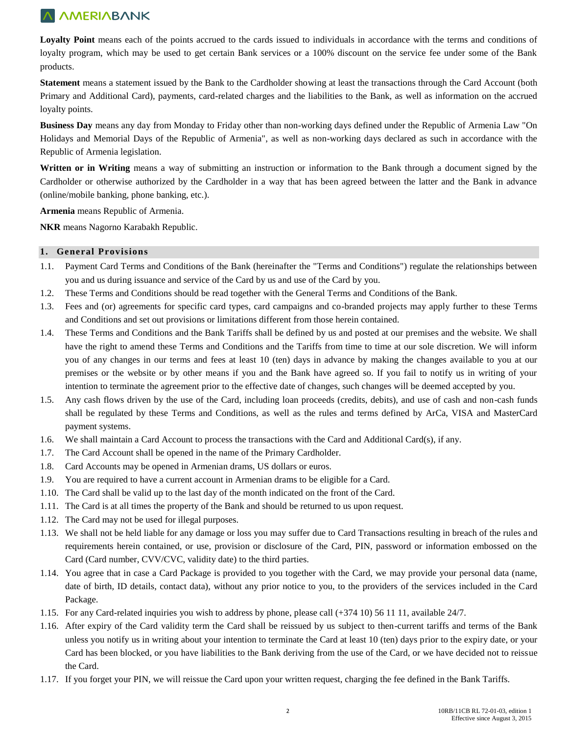Loyalty Point means each of the points accrued to the cards issued to individuals in accordance with the terms and conditions of loyalty program, which may be used to get certain Bank services or a 100% discount on the service fee under some of the Bank products.

**Statement** means a statement issued by the Bank to the Cardholder showing at least the transactions through the Card Account (both Primary and Additional Card), payments, card-related charges and the liabilities to the Bank, as well as information on the accrued loyalty points.

**Business Day** means any day from Monday to Friday other than non-working days defined under the Republic of Armenia Law "On Holidays and Memorial Days of the Republic of Armenia", as well as non-working days declared as such in accordance with the Republic of Armenia legislation.

**Written or in Writing** means a way of submitting an instruction or information to the Bank through a document signed by the Cardholder or otherwise authorized by the Cardholder in a way that has been agreed between the latter and the Bank in advance (online/mobile banking, phone banking, etc.).

**Armenia** means Republic of Armenia.

**NKR** means Nagorno Karabakh Republic.

### **1. General Provisions**

- 1.1. Payment Card Terms and Conditions of the Bank (hereinafter the "Terms and Conditions") regulate the relationships between you and us during issuance and service of the Card by us and use of the Card by you.
- 1.2. These Terms and Conditions should be read together with the General Terms and Conditions of the Bank.
- 1.3. Fees and (or) agreements for specific card types, card campaigns and co-branded projects may apply further to these Terms and Conditions and set out provisions or limitations different from those herein contained.
- 1.4. These Terms and Conditions and the Bank Tariffs shall be defined by us and posted at our premises and the website. We shall have the right to amend these Terms and Conditions and the Tariffs from time to time at our sole discretion. We will inform you of any changes in our terms and fees at least 10 (ten) days in advance by making the changes available to you at our premises or the website or by other means if you and the Bank have agreed so. If you fail to notify us in writing of your intention to terminate the agreement prior to the effective date of changes, such changes will be deemed accepted by you.
- 1.5. Any cash flows driven by the use of the Card, including loan proceeds (credits, debits), and use of cash and non-cash funds shall be regulated by these Terms and Conditions, as well as the rules and terms defined by ArCa, VISA and MasterCard payment systems.
- 1.6. We shall maintain a Card Account to process the transactions with the Card and Additional Card(s), if any.
- 1.7. The Card Account shall be opened in the name of the Primary Cardholder.
- 1.8. Card Accounts may be opened in Armenian drams, US dollars or euros.
- 1.9. You are required to have a current account in Armenian drams to be eligible for a Card.
- 1.10. The Card shall be valid up to the last day of the month indicated on the front of the Card.
- 1.11. The Card is at all times the property of the Bank and should be returned to us upon request.
- 1.12. The Card may not be used for illegal purposes.
- 1.13. We shall not be held liable for any damage or loss you may suffer due to Card Transactions resulting in breach of the rules and requirements herein contained, or use, provision or disclosure of the Card, PIN, password or information embossed on the Card (Card number, CVV/CVC, validity date) to the third parties.
- 1.14. You agree that in case a Card Package is provided to you together with the Card, we may provide your personal data (name, date of birth, ID details, contact data), without any prior notice to you, to the providers of the services included in the Card Package.
- 1.15. For any Card-related inquiries you wish to address by phone, please call (+374 10) 56 11 11, available 24/7.
- 1.16. After expiry of the Card validity term the Card shall be reissued by us subject to then-current tariffs and terms of the Bank unless you notify us in writing about your intention to terminate the Card at least 10 (ten) days prior to the expiry date, or your Card has been blocked, or you have liabilities to the Bank deriving from the use of the Card, or we have decided not to reissue the Card.
- 1.17. If you forget your PIN, we will reissue the Card upon your written request, charging the fee defined in the Bank Tariffs.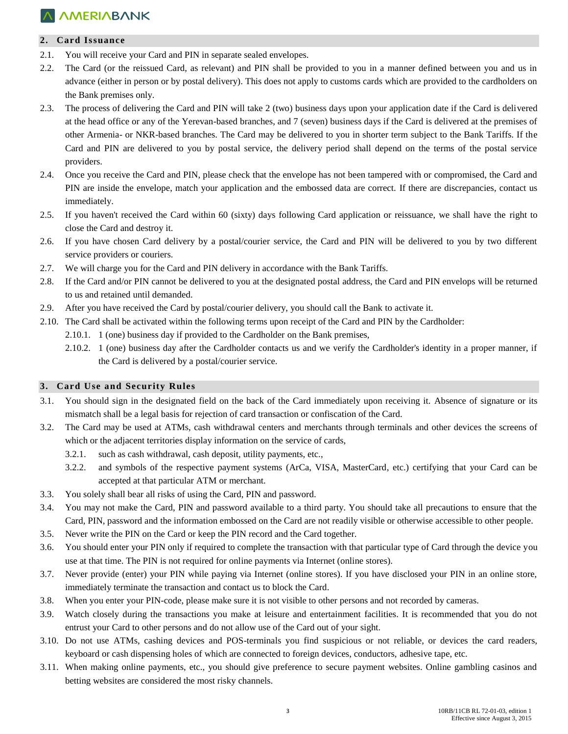### **2. Card Issuance**

- 2.1. You will receive your Card and PIN in separate sealed envelopes.
- 2.2. The Card (or the reissued Card, as relevant) and PIN shall be provided to you in a manner defined between you and us in advance (either in person or by postal delivery). This does not apply to customs cards which are provided to the cardholders on the Bank premises only.
- 2.3. The process of delivering the Card and PIN will take 2 (two) business days upon your application date if the Card is delivered at the head office or any of the Yerevan-based branches, and 7 (seven) business days if the Card is delivered at the premises of other Armenia- or NKR-based branches. The Card may be delivered to you in shorter term subject to the Bank Tariffs. If the Card and PIN are delivered to you by postal service, the delivery period shall depend on the terms of the postal service providers.
- 2.4. Once you receive the Card and PIN, please check that the envelope has not been tampered with or compromised, the Card and PIN are inside the envelope, match your application and the embossed data are correct. If there are discrepancies, contact us immediately.
- 2.5. If you haven't received the Card within 60 (sixty) days following Card application or reissuance, we shall have the right to close the Card and destroy it.
- 2.6. If you have chosen Card delivery by a postal/courier service, the Card and PIN will be delivered to you by two different service providers or couriers.
- 2.7. We will charge you for the Card and PIN delivery in accordance with the Bank Tariffs.
- 2.8. If the Card and/or PIN cannot be delivered to you at the designated postal address, the Card and PIN envelops will be returned to us and retained until demanded.
- 2.9. After you have received the Card by postal/courier delivery, you should call the Bank to activate it.
- 2.10. The Card shall be activated within the following terms upon receipt of the Card and PIN by the Cardholder:
	- 2.10.1. 1 (one) business day if provided to the Cardholder on the Bank premises,
	- 2.10.2. 1 (one) business day after the Cardholder contacts us and we verify the Cardholder's identity in a proper manner, if the Card is delivered by a postal/courier service.

#### **3. Card Use and Security Rules**

- 3.1. You should sign in the designated field on the back of the Card immediately upon receiving it. Absence of signature or its mismatch shall be a legal basis for rejection of card transaction or confiscation of the Card.
- 3.2. The Card may be used at ATMs, cash withdrawal centers and merchants through terminals and other devices the screens of which or the adjacent territories display information on the service of cards,
	- 3.2.1. such as cash withdrawal, cash deposit, utility payments, etc.,
	- 3.2.2. and symbols of the respective payment systems (ArCa, VISA, MasterCard, etc.) certifying that your Card can be accepted at that particular ATM or merchant.
- 3.3. You solely shall bear all risks of using the Card, PIN and password.
- 3.4. You may not make the Card, PIN and password available to a third party. You should take all precautions to ensure that the Card, PIN, password and the information embossed on the Card are not readily visible or otherwise accessible to other people.
- 3.5. Never write the PIN on the Card or keep the PIN record and the Card together.
- 3.6. You should enter your PIN only if required to complete the transaction with that particular type of Card through the device you use at that time. The PIN is not required for online payments via Internet (online stores).
- 3.7. Never provide (enter) your PIN while paying via Internet (online stores). If you have disclosed your PIN in an online store, immediately terminate the transaction and contact us to block the Card.
- 3.8. When you enter your PIN-code, please make sure it is not visible to other persons and not recorded by cameras.
- 3.9. Watch closely during the transactions you make at leisure and entertainment facilities. It is recommended that you do not entrust your Card to other persons and do not allow use of the Card out of your sight.
- 3.10. Do not use ATMs, cashing devices and POS-terminals you find suspicious or not reliable, or devices the card readers, keyboard or cash dispensing holes of which are connected to foreign devices, conductors, adhesive tape, etc.
- 3.11. When making online payments, etc., you should give preference to secure payment websites. Online gambling casinos and betting websites are considered the most risky channels.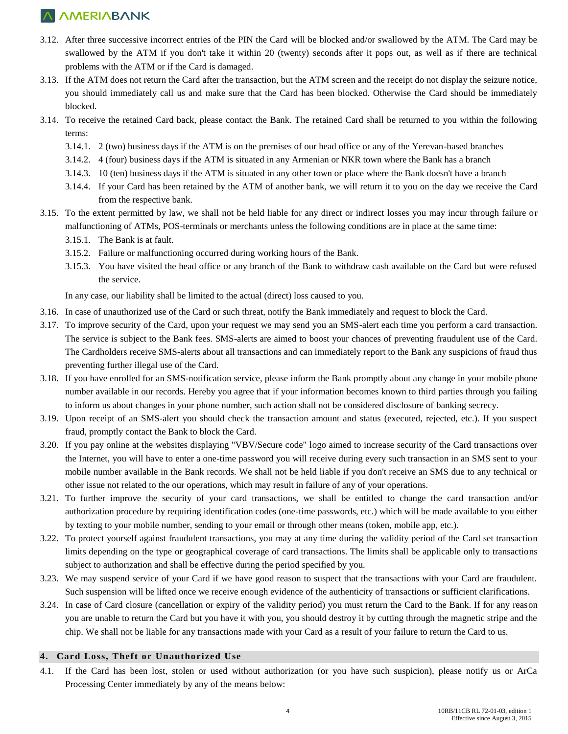- 3.12. After three successive incorrect entries of the PIN the Card will be blocked and/or swallowed by the ATM. The Card may be swallowed by the ATM if you don't take it within 20 (twenty) seconds after it pops out, as well as if there are technical problems with the ATM or if the Card is damaged.
- 3.13. If the ATM does not return the Card after the transaction, but the ATM screen and the receipt do not display the seizure notice, you should immediately call us and make sure that the Card has been blocked. Otherwise the Card should be immediately blocked.
- 3.14. To receive the retained Card back, please contact the Bank. The retained Card shall be returned to you within the following terms:
	- 3.14.1. 2 (two) business days if the ATM is on the premises of our head office or any of the Yerevan-based branches
	- 3.14.2. 4 (four) business days if the ATM is situated in any Armenian or NKR town where the Bank has a branch
	- 3.14.3. 10 (ten) business days if the ATM is situated in any other town or place where the Bank doesn't have a branch
	- 3.14.4. If your Card has been retained by the ATM of another bank, we will return it to you on the day we receive the Card from the respective bank.
- 3.15. To the extent permitted by law, we shall not be held liable for any direct or indirect losses you may incur through failure or malfunctioning of ATMs, POS-terminals or merchants unless the following conditions are in place at the same time:
	- 3.15.1. The Bank is at fault.
	- 3.15.2. Failure or malfunctioning occurred during working hours of the Bank.
	- 3.15.3. You have visited the head office or any branch of the Bank to withdraw cash available on the Card but were refused the service.

In any case, our liability shall be limited to the actual (direct) loss caused to you.

- 3.16. In case of unauthorized use of the Card or such threat, notify the Bank immediately and request to block the Card.
- 3.17. To improve security of the Card, upon your request we may send you an SMS-alert each time you perform a card transaction. The service is subject to the Bank fees. SMS-alerts are aimed to boost your chances of preventing fraudulent use of the Card. The Cardholders receive SMS-alerts about all transactions and can immediately report to the Bank any suspicions of fraud thus preventing further illegal use of the Card.
- 3.18. If you have enrolled for an SMS-notification service, please inform the Bank promptly about any change in your mobile phone number available in our records. Hereby you agree that if your information becomes known to third parties through you failing to inform us about changes in your phone number, such action shall not be considered disclosure of banking secrecy.
- 3.19. Upon receipt of an SMS-alert you should check the transaction amount and status (executed, rejected, etc.). If you suspect fraud, promptly contact the Bank to block the Card.
- 3.20. If you pay online at the websites displaying "VBV/Secure code" logo aimed to increase security of the Card transactions over the Internet, you will have to enter a one-time password you will receive during every such transaction in an SMS sent to your mobile number available in the Bank records. We shall not be held liable if you don't receive an SMS due to any technical or other issue not related to the our operations, which may result in failure of any of your operations.
- 3.21. To further improve the security of your card transactions, we shall be entitled to change the card transaction and/or authorization procedure by requiring identification codes (one-time passwords, etc.) which will be made available to you either by texting to your mobile number, sending to your email or through other means (token, mobile app, etc.).
- 3.22. To protect yourself against fraudulent transactions, you may at any time during the validity period of the Card set transaction limits depending on the type or geographical coverage of card transactions. The limits shall be applicable only to transactions subject to authorization and shall be effective during the period specified by you.
- 3.23. We may suspend service of your Card if we have good reason to suspect that the transactions with your Card are fraudulent. Such suspension will be lifted once we receive enough evidence of the authenticity of transactions or sufficient clarifications.
- 3.24. In case of Card closure (cancellation or expiry of the validity period) you must return the Card to the Bank. If for any reason you are unable to return the Card but you have it with you, you should destroy it by cutting through the magnetic stripe and the chip. We shall not be liable for any transactions made with your Card as a result of your failure to return the Card to us.

#### **4. Card Loss, Theft or Unauthorized Use**

4.1. If the Card has been lost, stolen or used without authorization (or you have such suspicion), please notify us or ArCa Processing Center immediately by any of the means below: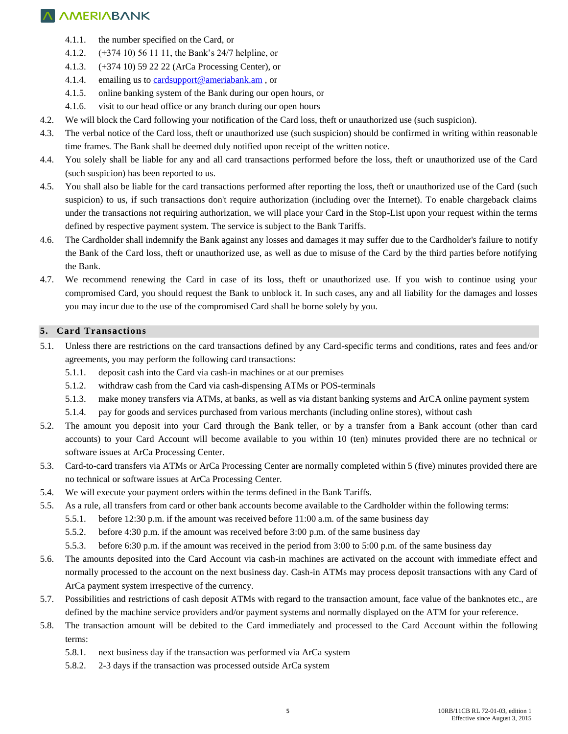- 4.1.1. the number specified on the Card, or
- 4.1.2. (+374 10) 56 11 11, the Bank's 24/7 helpline, or
- 4.1.3. (+374 10) 59 22 22 (ArCa Processing Center), or
- 4.1.4. emailing us to [cardsupport@ameriabank.am](mailto:cardsupport@ameriabank.am) , or
- 4.1.5. online banking system of the Bank during our open hours, or
- 4.1.6. visit to our head office or any branch during our open hours
- 4.2. We will block the Card following your notification of the Card loss, theft or unauthorized use (such suspicion).
- 4.3. The verbal notice of the Card loss, theft or unauthorized use (such suspicion) should be confirmed in writing within reasonable time frames. The Bank shall be deemed duly notified upon receipt of the written notice.
- 4.4. You solely shall be liable for any and all card transactions performed before the loss, theft or unauthorized use of the Card (such suspicion) has been reported to us.
- 4.5. You shall also be liable for the card transactions performed after reporting the loss, theft or unauthorized use of the Card (such suspicion) to us, if such transactions don't require authorization (including over the Internet). To enable chargeback claims under the transactions not requiring authorization, we will place your Card in the Stop-List upon your request within the terms defined by respective payment system. The service is subject to the Bank Tariffs.
- 4.6. The Cardholder shall indemnify the Bank against any losses and damages it may suffer due to the Cardholder's failure to notify the Bank of the Card loss, theft or unauthorized use, as well as due to misuse of the Card by the third parties before notifying the Bank.
- 4.7. We recommend renewing the Card in case of its loss, theft or unauthorized use. If you wish to continue using your compromised Card, you should request the Bank to unblock it. In such cases, any and all liability for the damages and losses you may incur due to the use of the compromised Card shall be borne solely by you.

### **5. Card Transactions**

- 5.1. Unless there are restrictions on the card transactions defined by any Card-specific terms and conditions, rates and fees and/or agreements, you may perform the following card transactions:
	- 5.1.1. deposit cash into the Card via cash-in machines or at our premises
	- 5.1.2. withdraw cash from the Card via cash-dispensing ATMs or POS-terminals
	- 5.1.3. make money transfers via ATMs, at banks, as well as via distant banking systems and ArCA online payment system
	- 5.1.4. pay for goods and services purchased from various merchants (including online stores), without cash
- 5.2. The amount you deposit into your Card through the Bank teller, or by a transfer from a Bank account (other than card accounts) to your Card Account will become available to you within 10 (ten) minutes provided there are no technical or software issues at ArCa Processing Center.
- 5.3. Card-to-card transfers via ATMs or ArCa Processing Center are normally completed within 5 (five) minutes provided there are no technical or software issues at ArCa Processing Center.
- 5.4. We will execute your payment orders within the terms defined in the Bank Tariffs.
- 5.5. As a rule, all transfers from card or other bank accounts become available to the Cardholder within the following terms:
	- 5.5.1. before 12:30 p.m. if the amount was received before 11:00 a.m. of the same business day
	- 5.5.2. before 4:30 p.m. if the amount was received before 3:00 p.m. of the same business day
	- 5.5.3. before 6:30 p.m. if the amount was received in the period from 3:00 to 5:00 p.m. of the same business day
- 5.6. The amounts deposited into the Card Account via cash-in machines are activated on the account with immediate effect and normally processed to the account on the next business day. Cash-in ATMs may process deposit transactions with any Card of ArCa payment system irrespective of the currency.
- 5.7. Possibilities and restrictions of cash deposit ATMs with regard to the transaction amount, face value of the banknotes etc., are defined by the machine service providers and/or payment systems and normally displayed on the ATM for your reference.
- 5.8. The transaction amount will be debited to the Card immediately and processed to the Card Account within the following terms:
	- 5.8.1. next business day if the transaction was performed via ArCa system
	- 5.8.2. 2-3 days if the transaction was processed outside ArCa system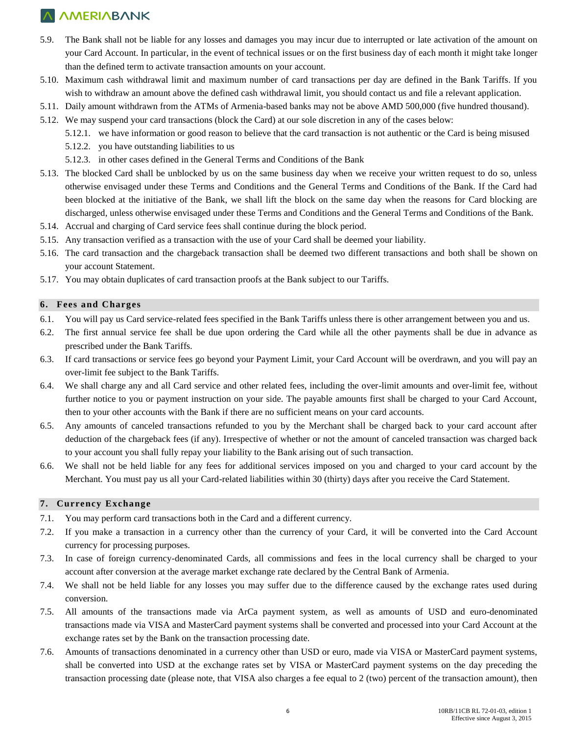- 5.9. The Bank shall not be liable for any losses and damages you may incur due to interrupted or late activation of the amount on your Card Account. In particular, in the event of technical issues or on the first business day of each month it might take longer than the defined term to activate transaction amounts on your account.
- 5.10. Maximum cash withdrawal limit and maximum number of card transactions per day are defined in the Bank Tariffs. If you wish to withdraw an amount above the defined cash withdrawal limit, you should contact us and file a relevant application.
- 5.11. Daily amount withdrawn from the ATMs of Armenia-based banks may not be above AMD 500,000 (five hundred thousand).
- 5.12. We may suspend your card transactions (block the Card) at our sole discretion in any of the cases below:
	- 5.12.1. we have information or good reason to believe that the card transaction is not authentic or the Card is being misused
		- 5.12.2. you have outstanding liabilities to us
		- 5.12.3. in other cases defined in the General Terms and Conditions of the Bank
- 5.13. The blocked Card shall be unblocked by us on the same business day when we receive your written request to do so, unless otherwise envisaged under these Terms and Conditions and the General Terms and Conditions of the Bank. If the Card had been blocked at the initiative of the Bank, we shall lift the block on the same day when the reasons for Card blocking are discharged, unless otherwise envisaged under these Terms and Conditions and the General Terms and Conditions of the Bank.
- 5.14. Accrual and charging of Card service fees shall continue during the block period.
- 5.15. Any transaction verified as a transaction with the use of your Card shall be deemed your liability.
- 5.16. The card transaction and the chargeback transaction shall be deemed two different transactions and both shall be shown on your account Statement.
- 5.17. You may obtain duplicates of card transaction proofs at the Bank subject to our Tariffs.

### **6. Fees and Charges**

- 6.1. You will pay us Card service-related fees specified in the Bank Tariffs unless there is other arrangement between you and us.
- 6.2. The first annual service fee shall be due upon ordering the Card while all the other payments shall be due in advance as prescribed under the Bank Tariffs.
- 6.3. If card transactions or service fees go beyond your Payment Limit, your Card Account will be overdrawn, and you will pay an over-limit fee subject to the Bank Tariffs.
- 6.4. We shall charge any and all Card service and other related fees, including the over-limit amounts and over-limit fee, without further notice to you or payment instruction on your side. The payable amounts first shall be charged to your Card Account, then to your other accounts with the Bank if there are no sufficient means on your card accounts.
- 6.5. Any amounts of canceled transactions refunded to you by the Merchant shall be charged back to your card account after deduction of the chargeback fees (if any). Irrespective of whether or not the amount of canceled transaction was charged back to your account you shall fully repay your liability to the Bank arising out of such transaction.
- 6.6. We shall not be held liable for any fees for additional services imposed on you and charged to your card account by the Merchant. You must pay us all your Card-related liabilities within 30 (thirty) days after you receive the Card Statement.

### **7. Currency Exchange**

- 7.1. You may perform card transactions both in the Card and a different currency.
- 7.2. If you make a transaction in a currency other than the currency of your Card, it will be converted into the Card Account currency for processing purposes.
- 7.3. In case of foreign currency-denominated Cards, all commissions and fees in the local currency shall be charged to your account after conversion at the average market exchange rate declared by the Central Bank of Armenia.
- 7.4. We shall not be held liable for any losses you may suffer due to the difference caused by the exchange rates used during conversion.
- 7.5. All amounts of the transactions made via ArCa payment system, as well as amounts of USD and euro-denominated transactions made via VISA and MasterCard payment systems shall be converted and processed into your Card Account at the exchange rates set by the Bank on the transaction processing date.
- 7.6. Amounts of transactions denominated in a currency other than USD or euro, made via VISA or MasterCard payment systems, shall be converted into USD at the exchange rates set by VISA or MasterCard payment systems on the day preceding the transaction processing date (please note, that VISA also charges a fee equal to 2 (two) percent of the transaction amount), then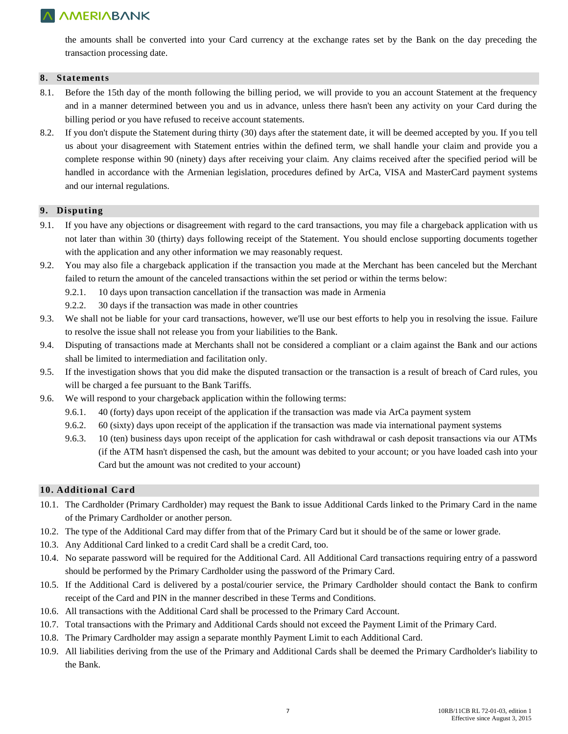the amounts shall be converted into your Card currency at the exchange rates set by the Bank on the day preceding the transaction processing date.

#### **8. Statements**

- 8.1. Before the 15th day of the month following the billing period, we will provide to you an account Statement at the frequency and in a manner determined between you and us in advance, unless there hasn't been any activity on your Card during the billing period or you have refused to receive account statements.
- 8.2. If you don't dispute the Statement during thirty (30) days after the statement date, it will be deemed accepted by you. If you tell us about your disagreement with Statement entries within the defined term, we shall handle your claim and provide you a complete response within 90 (ninety) days after receiving your claim. Any claims received after the specified period will be handled in accordance with the Armenian legislation, procedures defined by ArCa, VISA and MasterCard payment systems and our internal regulations.

#### **9. Disputing**

- 9.1. If you have any objections or disagreement with regard to the card transactions, you may file a chargeback application with us not later than within 30 (thirty) days following receipt of the Statement. You should enclose supporting documents together with the application and any other information we may reasonably request.
- 9.2. You may also file a chargeback application if the transaction you made at the Merchant has been canceled but the Merchant failed to return the amount of the canceled transactions within the set period or within the terms below:
	- 9.2.1. 10 days upon transaction cancellation if the transaction was made in Armenia
	- 9.2.2. 30 days if the transaction was made in other countries
- 9.3. We shall not be liable for your card transactions, however, we'll use our best efforts to help you in resolving the issue. Failure to resolve the issue shall not release you from your liabilities to the Bank.
- 9.4. Disputing of transactions made at Merchants shall not be considered a compliant or a claim against the Bank and our actions shall be limited to intermediation and facilitation only.
- 9.5. If the investigation shows that you did make the disputed transaction or the transaction is a result of breach of Card rules, you will be charged a fee pursuant to the Bank Tariffs.
- 9.6. We will respond to your chargeback application within the following terms:
	- 9.6.1. 40 (forty) days upon receipt of the application if the transaction was made via ArCa payment system
	- 9.6.2. 60 (sixty) days upon receipt of the application if the transaction was made via international payment systems
	- 9.6.3. 10 (ten) business days upon receipt of the application for cash withdrawal or cash deposit transactions via our ATMs (if the ATM hasn't dispensed the cash, but the amount was debited to your account; or you have loaded cash into your Card but the amount was not credited to your account)

### **10. Additional Card**

- 10.1. The Cardholder (Primary Cardholder) may request the Bank to issue Additional Cards linked to the Primary Card in the name of the Primary Cardholder or another person.
- 10.2. The type of the Additional Card may differ from that of the Primary Card but it should be of the same or lower grade.
- 10.3. Any Additional Card linked to a credit Card shall be a credit Card, too.
- 10.4. No separate password will be required for the Additional Card. All Additional Card transactions requiring entry of a password should be performed by the Primary Cardholder using the password of the Primary Card.
- 10.5. If the Additional Card is delivered by a postal/courier service, the Primary Cardholder should contact the Bank to confirm receipt of the Card and PIN in the manner described in these Terms and Conditions.
- 10.6. All transactions with the Additional Card shall be processed to the Primary Card Account.
- 10.7. Total transactions with the Primary and Additional Cards should not exceed the Payment Limit of the Primary Card.
- 10.8. The Primary Cardholder may assign a separate monthly Payment Limit to each Additional Card.
- 10.9. All liabilities deriving from the use of the Primary and Additional Cards shall be deemed the Primary Cardholder's liability to the Bank.